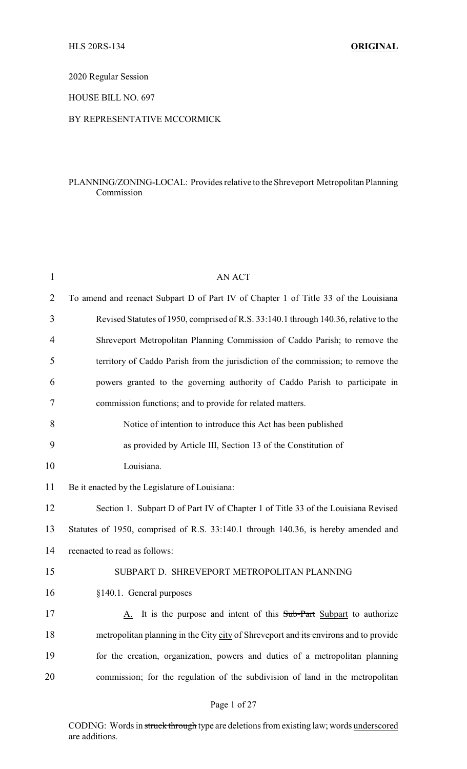2020 Regular Session

HOUSE BILL NO. 697

## BY REPRESENTATIVE MCCORMICK

## PLANNING/ZONING-LOCAL: Provides relative to the Shreveport Metropolitan Planning Commission

| 1              | <b>AN ACT</b>                                                                        |
|----------------|--------------------------------------------------------------------------------------|
| $\overline{2}$ | To amend and reenact Subpart D of Part IV of Chapter 1 of Title 33 of the Louisiana  |
| 3              | Revised Statutes of 1950, comprised of R.S. 33:140.1 through 140.36, relative to the |
| 4              | Shreveport Metropolitan Planning Commission of Caddo Parish; to remove the           |
| 5              | territory of Caddo Parish from the jurisdiction of the commission; to remove the     |
| 6              | powers granted to the governing authority of Caddo Parish to participate in          |
| 7              | commission functions; and to provide for related matters.                            |
| 8              | Notice of intention to introduce this Act has been published                         |
| 9              | as provided by Article III, Section 13 of the Constitution of                        |
| 10             | Louisiana.                                                                           |
| 11             | Be it enacted by the Legislature of Louisiana:                                       |
| 12             | Section 1. Subpart D of Part IV of Chapter 1 of Title 33 of the Louisiana Revised    |
| 13             | Statutes of 1950, comprised of R.S. 33:140.1 through 140.36, is hereby amended and   |
| 14             | reenacted to read as follows:                                                        |
| 15             | SUBPART D. SHREVEPORT METROPOLITAN PLANNING                                          |
| 16             | §140.1. General purposes                                                             |
| 17             | A. It is the purpose and intent of this Sub-Part Subpart to authorize                |
| 18             | metropolitan planning in the City city of Shreveport and its environs and to provide |
| 19             | for the creation, organization, powers and duties of a metropolitan planning         |
| 20             | commission; for the regulation of the subdivision of land in the metropolitan        |
|                |                                                                                      |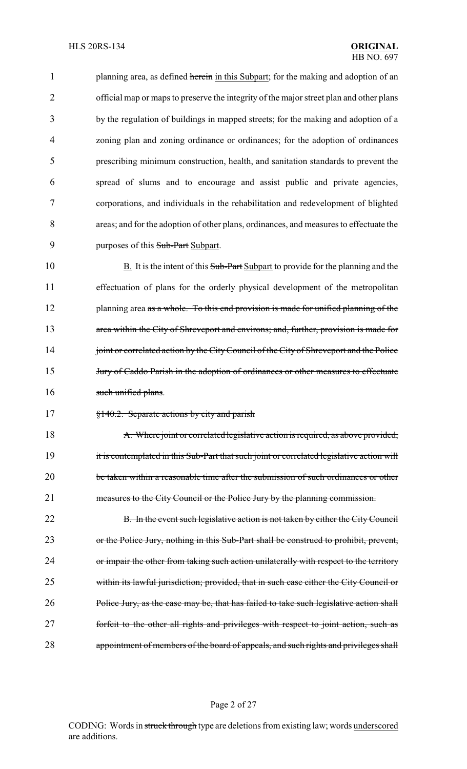1 planning area, as defined herein in this Subpart; for the making and adoption of an official map or maps to preserve the integrity of the major street plan and other plans by the regulation of buildings in mapped streets; for the making and adoption of a zoning plan and zoning ordinance or ordinances; for the adoption of ordinances prescribing minimum construction, health, and sanitation standards to prevent the spread of slums and to encourage and assist public and private agencies, corporations, and individuals in the rehabilitation and redevelopment of blighted areas; and for the adoption of other plans, ordinances, and measures to effectuate the 9 purposes of this Sub-Part Subpart.

10 B. It is the intent of this Sub-Part Subpart to provide for the planning and the 11 effectuation of plans for the orderly physical development of the metropolitan 12 planning area as a whole. To this end provision is made for unified planning of the 13 area within the City of Shreveport and environs; and, further, provision is made for 14 joint or correlated action by the City Council of the City of Shreveport and the Police 15 *Jury of Caddo Parish in the adoption of ordinances or other measures to effectuate* 16 such unified plans.

17 §140.2. Separate actions by city and parish

18 A. Where joint or correlated legislative action is required, as above provided, 19 it is contemplated in this Sub-Part that such joint or correlated legislative action will 20 be taken within a reasonable time after the submission of such ordinances or other 21 measures to the City Council or the Police Jury by the planning commission.

22 B. In the event such legislative action is not taken by either the City Council 23 or the Police Jury, nothing in this Sub-Part shall be construed to prohibit, prevent, 24 or impair the other from taking such action unilaterally with respect to the territory 25 within its lawful jurisdiction; provided, that in such case either the City Council or 26 Police Jury, as the case may be, that has failed to take such legislative action shall 27 forfeit to the other all rights and privileges with respect to joint action, such as 28 appointment of members of the board of appeals, and such rights and privileges shall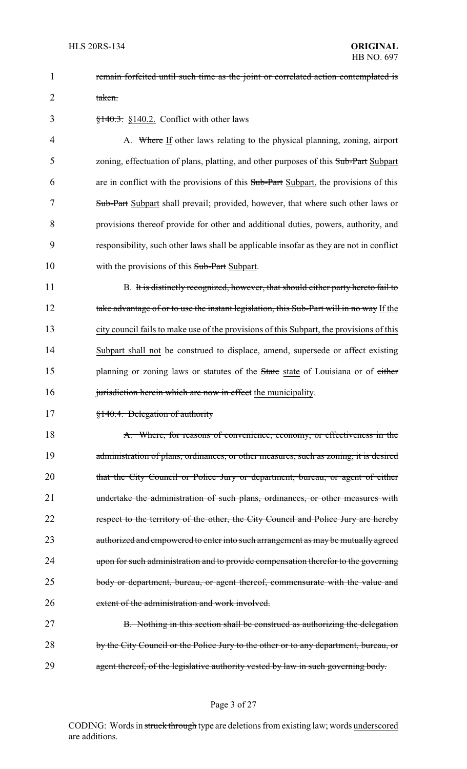1 **remain forfeited until such time as the joint or correlated action contemplated is** 2 taken.

 $\frac{$140.3}{140.3}$  \\$140.2. Conflict with other laws

4 A. Where If other laws relating to the physical planning, zoning, airport 5 zoning, effectuation of plans, platting, and other purposes of this Sub-Part Subpart 6 are in conflict with the provisions of this Sub-Part Subpart, the provisions of this 7 Sub-Part Subpart shall prevail; provided, however, that where such other laws or 8 provisions thereof provide for other and additional duties, powers, authority, and 9 responsibility, such other laws shall be applicable insofar as they are not in conflict 10 with the provisions of this Sub-Part Subpart.

11 B. It is distinctly recognized, however, that should either party hereto fail to 12 take advantage of or to use the instant legislation, this Sub-Part will in no way If the 13 city council fails to make use of the provisions of this Subpart, the provisions of this 14 Subpart shall not be construed to displace, amend, supersede or affect existing 15 planning or zoning laws or statutes of the State state of Louisiana or of either 16 jurisdiction herein which are now in effect the municipality.

17 §140.4. Delegation of authority

18 A. Where, for reasons of convenience, economy, or effectiveness in the 19 administration of plans, ordinances, or other measures, such as zoning, it is desired 20 that the City Council or Police Jury or department, bureau, or agent of either 21 undertake the administration of such plans, ordinances, or other measures with 22 respect to the territory of the other, the City Council and Police Jury are hereby 23 authorized and empowered to enter into such arrangement as may be mutually agreed 24 upon for such administration and to provide compensation therefor to the governing 25 body or department, bureau, or agent thereof, commensurate with the value and 26 extent of the administration and work involved.

27 B. Nothing in this section shall be construed as authorizing the delegation 28 by the City Council or the Police Jury to the other or to any department, bureau, or 29 agent thereof, of the legislative authority vested by law in such governing body.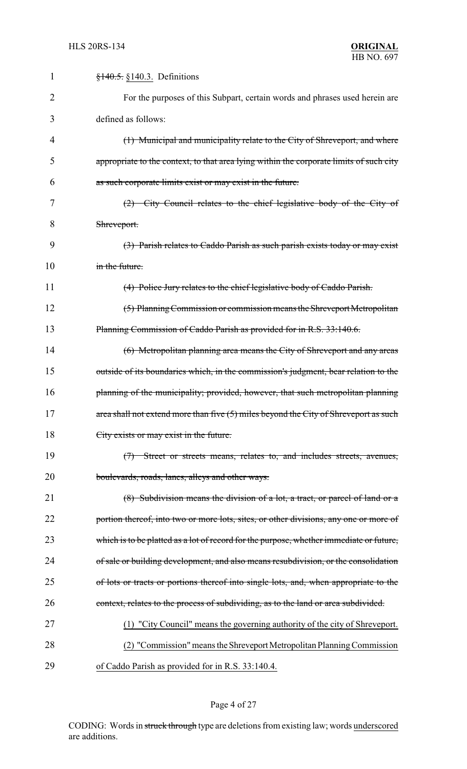| $\mathbf{1}$   | $\frac{$140.5}{9140.3}$ . Definitions                                                   |
|----------------|-----------------------------------------------------------------------------------------|
| $\overline{2}$ | For the purposes of this Subpart, certain words and phrases used herein are             |
| 3              | defined as follows:                                                                     |
| 4              | (1) Municipal and municipality relate to the City of Shreveport, and where              |
| 5              | appropriate to the context, to that area lying within the corporate limits of such city |
| 6              | as such corporate limits exist or may exist in the future.                              |
| 7              | $(2)$ City Council relates to the chief legislative body of the City of                 |
| 8              | Shreveport.                                                                             |
| 9              | (3) Parish relates to Caddo Parish as such parish exists today or may exist             |
| 10             | in the future.                                                                          |
| 11             | (4) Police Jury relates to the chief legislative body of Caddo Parish.                  |
| 12             | (5) Planning Commission or commission means the Shreveport Metropolitan                 |
| 13             | Planning Commission of Caddo Parish as provided for in R.S. 33:140.6.                   |
| 14             | (6) Metropolitan planning area means the City of Shreveport and any areas               |
| 15             | outside of its boundaries which, in the commission's judgment, bear relation to the     |
| 16             | planning of the municipality; provided, however, that such metropolitan planning        |
| 17             | area shall not extend more than five (5) miles beyond the City of Shreveport as such    |
| 18             | City exists or may exist in the future.                                                 |
| 19             | (7) Street or streets means, relates to, and includes streets, avenues,                 |
| 20             | boulevards, roads, lanes, alleys and other ways.                                        |
| 21             | (8) Subdivision means the division of a lot, a tract, or parcel of land or a            |
| 22             | portion thereof, into two or more lots, sites, or other divisions, any one or more of   |
| 23             | which is to be platted as a lot of record for the purpose, whether immediate or future, |
| 24             | of sale or building development, and also means resubdivision, or the consolidation     |
| 25             | of lots or tracts or portions thereof into single lots, and, when appropriate to the    |
| 26             | context, relates to the process of subdividing, as to the land or area subdivided.      |
| 27             | (1) "City Council" means the governing authority of the city of Shreveport.             |
| 28             | (2) "Commission" means the Shreveport Metropolitan Planning Commission                  |
| 29             | of Caddo Parish as provided for in R.S. 33:140.4.                                       |

# Page 4 of 27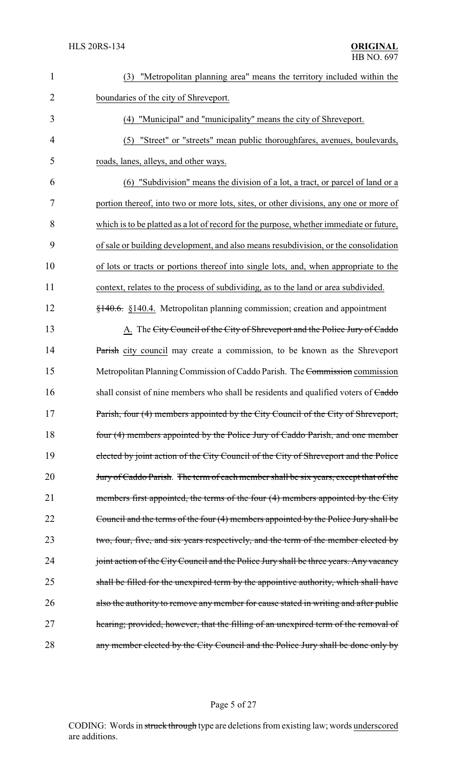| $\mathbf{1}$   | "Metropolitan planning area" means the territory included within the<br>(3)                |
|----------------|--------------------------------------------------------------------------------------------|
| $\overline{2}$ | boundaries of the city of Shreveport.                                                      |
| 3              | (4) "Municipal" and "municipality" means the city of Shreveport.                           |
| $\overline{4}$ | (5) "Street" or "streets" mean public thoroughfares, avenues, boulevards,                  |
| 5              | roads, lanes, alleys, and other ways.                                                      |
| 6              | "Subdivision" means the division of a lot, a tract, or parcel of land or a<br>(6)          |
| 7              | portion thereof, into two or more lots, sites, or other divisions, any one or more of      |
| 8              | which is to be platted as a lot of record for the purpose, whether immediate or future,    |
| 9              | of sale or building development, and also means resubdivision, or the consolidation        |
| 10             | of lots or tracts or portions thereof into single lots, and, when appropriate to the       |
| 11             | context, relates to the process of subdividing, as to the land or area subdivided.         |
| 12             | $\frac{140.6}{140.6}$ , §140.4. Metropolitan planning commission; creation and appointment |
| 13             | A. The City Council of the City of Shreveport and the Police Jury of Caddo                 |
| 14             | Parish city council may create a commission, to be known as the Shreveport                 |
| 15             | Metropolitan Planning Commission of Caddo Parish. The Commission commission                |
| 16             | shall consist of nine members who shall be residents and qualified voters of Caddo         |
| 17             | Parish, four (4) members appointed by the City Council of the City of Shreveport,          |
| 18             | four (4) members appointed by the Police Jury of Caddo Parish, and one member              |
| 19             | elected by joint action of the City Council of the City of Shreveport and the Police       |
| 20             | Jury of Caddo Parish. The term of each member shall be six years, except that of the       |
| 21             | members first appointed, the terms of the four (4) members appointed by the City           |
| 22             | Council and the terms of the four (4) members appointed by the Police Jury shall be        |
| 23             | two, four, five, and six years respectively, and the term of the member elected by         |
| 24             | joint action of the City Council and the Police Jury shall be three years. Any vacancy     |
| 25             | shall be filled for the unexpired term by the appointive authority, which shall have       |
| 26             | also the authority to remove any member for cause stated in writing and after public       |
| 27             | hearing; provided, however, that the filling of an unexpired term of the removal of        |
| 28             | any member elected by the City Council and the Police Jury shall be done only by           |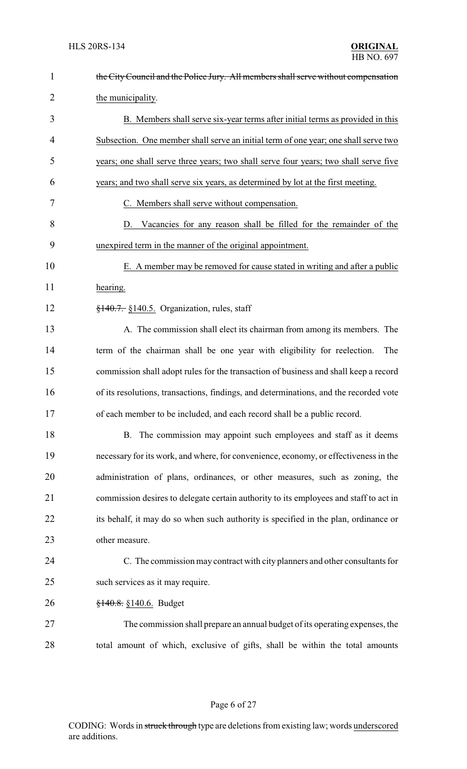| $\mathbf{1}$   | the City Council and the Police Jury. All members shall serve without compensation    |
|----------------|---------------------------------------------------------------------------------------|
| $\overline{2}$ | the municipality.                                                                     |
| 3              | B. Members shall serve six-year terms after initial terms as provided in this         |
| 4              | Subsection. One member shall serve an initial term of one year; one shall serve two   |
| 5              | years; one shall serve three years; two shall serve four years; two shall serve five  |
| 6              | years; and two shall serve six years, as determined by lot at the first meeting.      |
| 7              | C. Members shall serve without compensation.                                          |
| 8              | D. Vacancies for any reason shall be filled for the remainder of the                  |
| 9              | unexpired term in the manner of the original appointment.                             |
| 10             | E. A member may be removed for cause stated in writing and after a public             |
| 11             | hearing.                                                                              |
| 12             | $\frac{1}{2}$ +40.7. §140.5. Organization, rules, staff                               |
| 13             | A. The commission shall elect its chairman from among its members. The                |
| 14             | term of the chairman shall be one year with eligibility for reelection.<br>The        |
| 15             | commission shall adopt rules for the transaction of business and shall keep a record  |
| 16             | of its resolutions, transactions, findings, and determinations, and the recorded vote |
| 17             | of each member to be included, and each record shall be a public record.              |
| 18             | B. The commission may appoint such employees and staff as it deems                    |
| 19             | necessary for its work, and where, for convenience, economy, or effectiveness in the  |
| 20             | administration of plans, ordinances, or other measures, such as zoning, the           |
| 21             | commission desires to delegate certain authority to its employees and staff to act in |
| 22             | its behalf, it may do so when such authority is specified in the plan, ordinance or   |
| 23             | other measure.                                                                        |
| 24             | C. The commission may contract with city planners and other consultants for           |
| 25             | such services as it may require.                                                      |
| 26             | $\frac{$140.8}{9140.6}$ . Budget                                                      |
| 27             | The commission shall prepare an annual budget of its operating expenses, the          |
| 28             | total amount of which, exclusive of gifts, shall be within the total amounts          |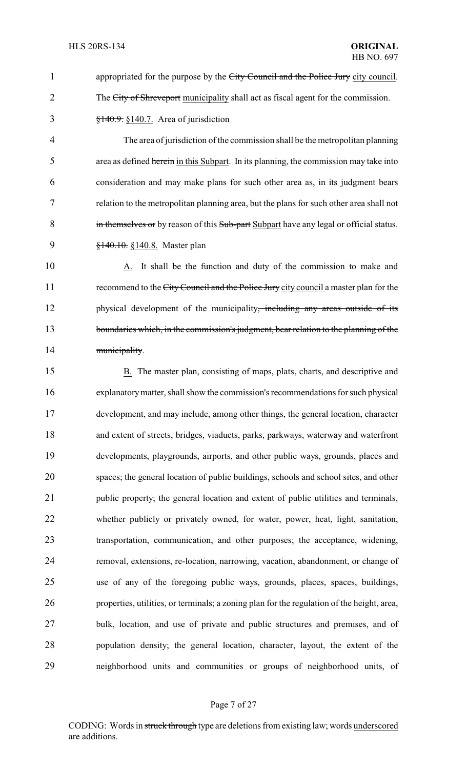1 appropriated for the purpose by the City Council and the Police Jury city council. 2 The City of Shreveport municipality shall act as fiscal agent for the commission.  $\frac{$140.9}{140.7}$ . S<sub>140.7</sub>. Area of jurisdiction

4 The area of jurisdiction of the commission shall be the metropolitan planning 5 area as defined herein in this Subpart. In its planning, the commission may take into 6 consideration and may make plans for such other area as, in its judgment bears 7 relation to the metropolitan planning area, but the plans for such other area shall not 8 in themselves or by reason of this Sub-part Subpart have any legal or official status. 9 <del>§140.10.</del> §140.8. Master plan

10 A. It shall be the function and duty of the commission to make and 11 recommend to the City Council and the Police Jury city council a master plan for the 12 physical development of the municipality, including any areas outside of its 13 boundaries which, in the commission's judgment, bear relation to the planning of the 14 municipality.

 B. The master plan, consisting of maps, plats, charts, and descriptive and explanatorymatter, shall show the commission's recommendations for such physical development, and may include, among other things, the general location, character and extent of streets, bridges, viaducts, parks, parkways, waterway and waterfront developments, playgrounds, airports, and other public ways, grounds, places and spaces; the general location of public buildings, schools and school sites, and other public property; the general location and extent of public utilities and terminals, whether publicly or privately owned, for water, power, heat, light, sanitation, transportation, communication, and other purposes; the acceptance, widening, removal, extensions, re-location, narrowing, vacation, abandonment, or change of use of any of the foregoing public ways, grounds, places, spaces, buildings, properties, utilities, or terminals; a zoning plan for the regulation of the height, area, bulk, location, and use of private and public structures and premises, and of population density; the general location, character, layout, the extent of the neighborhood units and communities or groups of neighborhood units, of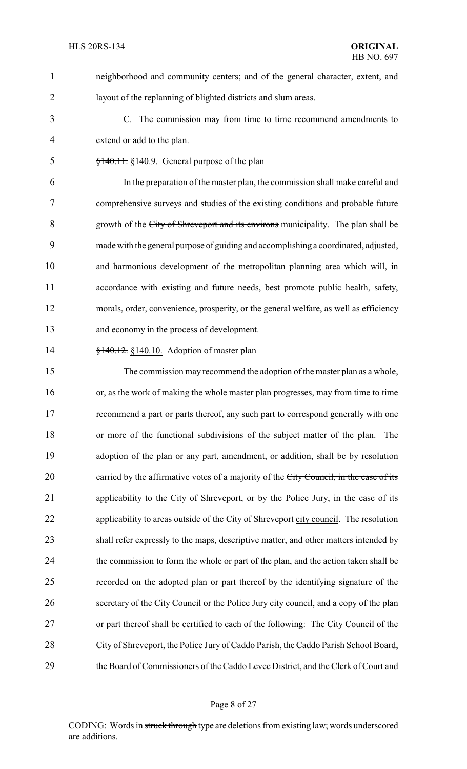neighborhood and community centers; and of the general character, extent, and layout of the replanning of blighted districts and slum areas.

 C. The commission may from time to time recommend amendments to extend or add to the plan.

§140.11. §140.9. General purpose of the plan

 In the preparation of the master plan, the commission shall make careful and comprehensive surveys and studies of the existing conditions and probable future growth of the City of Shreveport and its environs municipality. The plan shall be made with the general purpose of guiding and accomplishing a coordinated, adjusted, and harmonious development of the metropolitan planning area which will, in accordance with existing and future needs, best promote public health, safety, morals, order, convenience, prosperity, or the general welfare, as well as efficiency and economy in the process of development.

**§140.12.** §140.10. Adoption of master plan

 The commission may recommend the adoption of the master plan as a whole, or, as the work of making the whole master plan progresses, may from time to time recommend a part or parts thereof, any such part to correspond generally with one or more of the functional subdivisions of the subject matter of the plan. The adoption of the plan or any part, amendment, or addition, shall be by resolution 20 carried by the affirmative votes of a majority of the City Council, in the case of its applicability to the City of Shreveport, or by the Police Jury, in the case of its 22 applicability to areas outside of the City of Shreveport city council. The resolution shall refer expressly to the maps, descriptive matter, and other matters intended by the commission to form the whole or part of the plan, and the action taken shall be recorded on the adopted plan or part thereof by the identifying signature of the 26 secretary of the City Council or the Police Jury city council, and a copy of the plan 27 or part thereof shall be certified to each of the following: The City Council of the City of Shreveport, the Police Jury of Caddo Parish, the Caddo Parish School Board, 29 the Board of Commissioners of the Caddo Levee District, and the Clerk of Court and

#### Page 8 of 27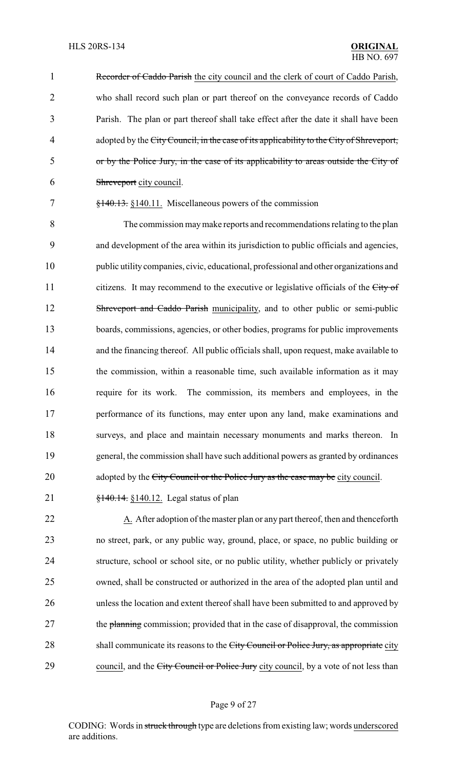1 Recorder of Caddo Parish the city council and the clerk of court of Caddo Parish, who shall record such plan or part thereof on the conveyance records of Caddo Parish. The plan or part thereof shall take effect after the date it shall have been 4 adopted by the City Council, in the case of its applicability to the City of Shreveport, or by the Police Jury, in the case of its applicability to areas outside the City of Shreveport city council.

7 §140.13. §140.11. Miscellaneous powers of the commission

 The commission maymake reports and recommendations relating to the plan and development of the area within its jurisdiction to public officials and agencies, public utilitycompanies, civic, educational, professional and other organizations and 11 citizens. It may recommend to the executive or legislative officials of the City of 12 Shreveport and Caddo Parish municipality, and to other public or semi-public boards, commissions, agencies, or other bodies, programs for public improvements and the financing thereof. All public officials shall, upon request, make available to the commission, within a reasonable time, such available information as it may require for its work. The commission, its members and employees, in the performance of its functions, may enter upon any land, make examinations and surveys, and place and maintain necessary monuments and marks thereon. In general, the commission shall have such additional powers as granted by ordinances 20 adopted by the City Council or the Police Jury as the case may be city council.

21 **§140.14.** §140.12. Legal status of plan

22 A. After adoption of the master plan or any part thereof, then and thenceforth 23 no street, park, or any public way, ground, place, or space, no public building or 24 structure, school or school site, or no public utility, whether publicly or privately 25 owned, shall be constructed or authorized in the area of the adopted plan until and 26 unless the location and extent thereof shall have been submitted to and approved by 27 the planning commission; provided that in the case of disapproval, the commission 28 shall communicate its reasons to the City Council or Police Jury, as appropriate city 29 council, and the City Council or Police Jury city council, by a vote of not less than

## Page 9 of 27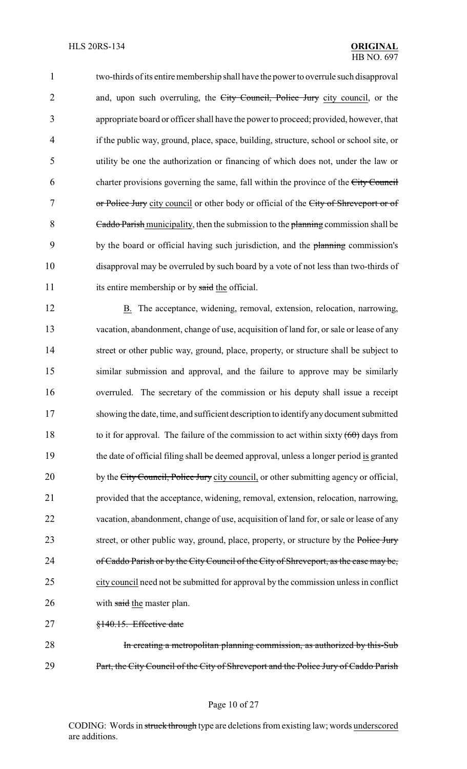1 two-thirds of its entire membership shall have the power to overrule such disapproval 2 and, upon such overruling, the City Council, Police Jury city council, or the 3 appropriate board or officer shall have the power to proceed; provided, however, that 4 if the public way, ground, place, space, building, structure, school or school site, or 5 utility be one the authorization or financing of which does not, under the law or 6 charter provisions governing the same, fall within the province of the City Council 7 or Police Jury city council or other body or official of the City of Shreveport or of 8 Caddo Parish municipality, then the submission to the planning commission shall be 9 by the board or official having such jurisdiction, and the planning commission's 10 disapproval may be overruled by such board by a vote of not less than two-thirds of 11 its entire membership or by said the official.

12 B. The acceptance, widening, removal, extension, relocation, narrowing, 13 vacation, abandonment, change of use, acquisition of land for, or sale or lease of any 14 street or other public way, ground, place, property, or structure shall be subject to 15 similar submission and approval, and the failure to approve may be similarly 16 overruled. The secretary of the commission or his deputy shall issue a receipt 17 showing the date, time, and sufficient description to identifyanydocument submitted 18 to it for approval. The failure of the commission to act within sixty  $(60)$  days from 19 the date of official filing shall be deemed approval, unless a longer period is granted 20 by the City Council, Police Jury city council, or other submitting agency or official, 21 provided that the acceptance, widening, removal, extension, relocation, narrowing, 22 vacation, abandonment, change of use, acquisition of land for, or sale or lease of any 23 street, or other public way, ground, place, property, or structure by the Police Jury 24 of Caddo Parish or by the City Council of the City of Shreveport, as the case may be, 25 city council need not be submitted for approval by the commission unless in conflict 26 with said the master plan.

27 §140.15. Effective date

28 In creating a metropolitan planning commission, as authorized by this-Sub 29 Part, the City Council of the City of Shreveport and the Police Jury of Caddo Parish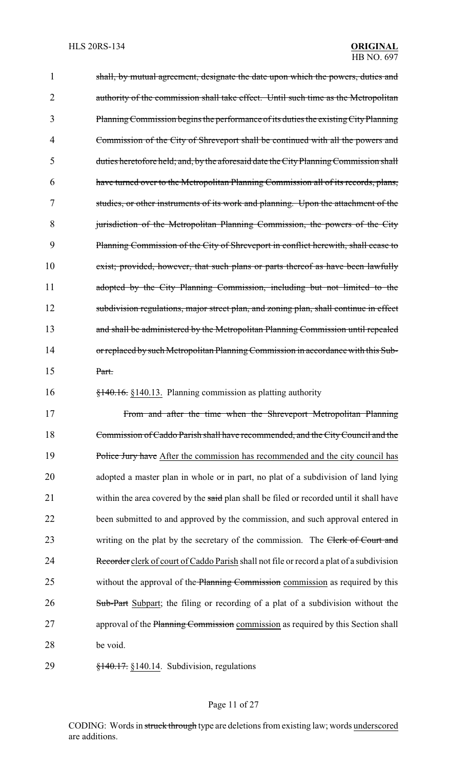1 shall, by mutual agreement, designate the date upon which the powers, duties and 2 authority of the commission shall take effect. Until such time as the Metropolitan 3 PlanningCommission begins the performance of its duties the existingCityPlanning 4 Commission of the City of Shreveport shall be continued with all the powers and 5 duties heretofore held; and, by the aforesaid date the CityPlanningCommission shall 6 have turned over to the Metropolitan Planning Commission all of its records, plans, 7 studies, or other instruments of its work and planning. Upon the attachment of the 8 jurisdiction of the Metropolitan Planning Commission, the powers of the City 9 Planning Commission of the City of Shreveport in conflict herewith, shall cease to 10 exist; provided, however, that such plans or parts thereof as have been lawfully 11 adopted by the City Planning Commission, including but not limited to the 12 subdivision regulations, major street plan, and zoning plan, shall continue in effect 13 and shall be administered by the Metropolitan Planning Commission until repealed 14 or replaced by such Metropolitan Planning Commission in accordance with this Sub-15 Part. 16 §140.16. §140.13. Planning commission as platting authority 17 From and after the time when the Shreveport Metropolitan Planning 18 Commission of Caddo Parish shall have recommended, and the CityCouncil and the 19 Police Jury have After the commission has recommended and the city council has 20 adopted a master plan in whole or in part, no plat of a subdivision of land lying 21 within the area covered by the said plan shall be filed or recorded until it shall have 22 been submitted to and approved by the commission, and such approval entered in

29 §140.17. §140.14. Subdivision, regulations

28 be void.

## Page 11 of 27

23 writing on the plat by the secretary of the commission. The Clerk of Court and

24 Recorder clerk of court of Caddo Parish shall not file or record a plat of a subdivision

25 without the approval of the Planning Commission commission as required by this

26 Sub-Part Subpart; the filing or recording of a plat of a subdivision without the

27 approval of the Planning Commission commission as required by this Section shall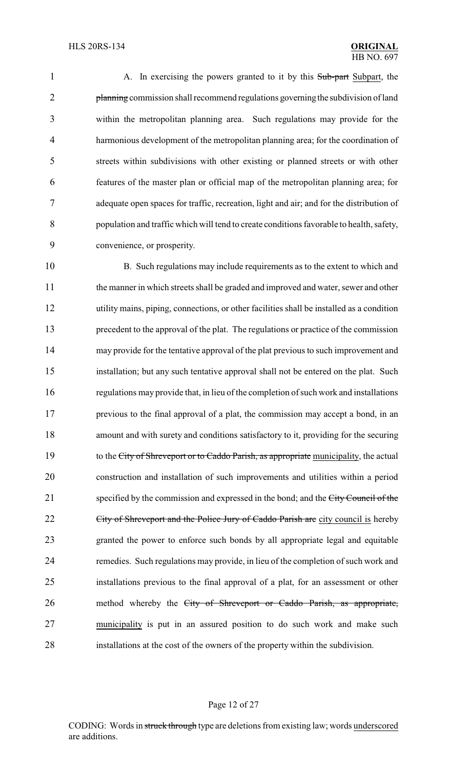1 A. In exercising the powers granted to it by this Sub-part Subpart, the 2 planning commission shall recommend regulations governing the subdivision of land within the metropolitan planning area. Such regulations may provide for the harmonious development of the metropolitan planning area; for the coordination of streets within subdivisions with other existing or planned streets or with other features of the master plan or official map of the metropolitan planning area; for adequate open spaces for traffic, recreation, light and air; and for the distribution of population and traffic which will tend to create conditions favorable to health, safety, convenience, or prosperity.

 B. Such regulations may include requirements as to the extent to which and the manner in which streets shall be graded and improved and water, sewer and other utility mains, piping, connections, or other facilities shall be installed as a condition precedent to the approval of the plat. The regulations or practice of the commission may provide for the tentative approval of the plat previous to such improvement and installation; but any such tentative approval shall not be entered on the plat. Such regulations may provide that, in lieu of the completion of such work and installations previous to the final approval of a plat, the commission may accept a bond, in an amount and with surety and conditions satisfactory to it, providing for the securing 19 to the City of Shreveport or to Caddo Parish, as appropriate municipality, the actual construction and installation of such improvements and utilities within a period 21 specified by the commission and expressed in the bond; and the City Council of the 22 <del>City of Shreveport and the Police Jury of Caddo Parish are</del> city council is hereby granted the power to enforce such bonds by all appropriate legal and equitable remedies. Such regulations may provide, in lieu of the completion of such work and installations previous to the final approval of a plat, for an assessment or other 26 method whereby the City of Shreveport or Caddo Parish, as appropriate, municipality is put in an assured position to do such work and make such installations at the cost of the owners of the property within the subdivision.

### Page 12 of 27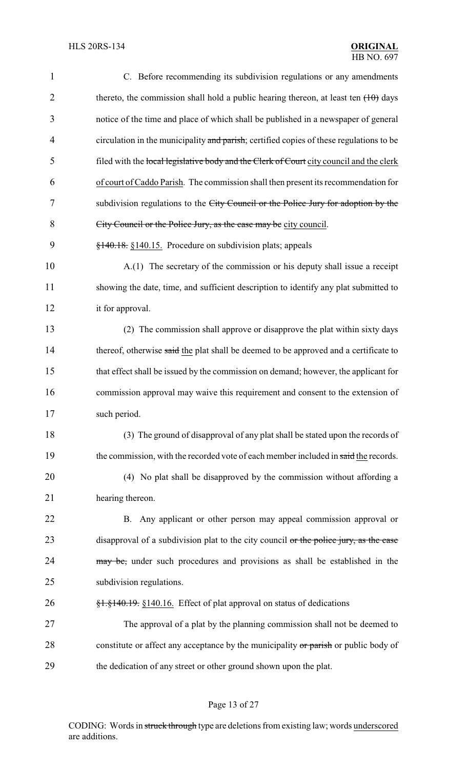| $\mathbf{1}$   | C. Before recommending its subdivision regulations or any amendments                                                                                    |
|----------------|---------------------------------------------------------------------------------------------------------------------------------------------------------|
| $\overline{2}$ | thereto, the commission shall hold a public hearing thereon, at least ten $(10)$ days                                                                   |
| 3              | notice of the time and place of which shall be published in a newspaper of general                                                                      |
| $\overline{4}$ | circulation in the municipality and parish; certified copies of these regulations to be                                                                 |
| 5              | filed with the local legislative body and the Clerk of Court city council and the clerk                                                                 |
| 6              | of court of Caddo Parish. The commission shall then present its recommendation for                                                                      |
| 7              | subdivision regulations to the City Council or the Police Jury for adoption by the                                                                      |
| 8              | City Council or the Police Jury, as the case may be city council.                                                                                       |
| 9              | $\frac{$140.18}{\\81.40.15}$ . Procedure on subdivision plats; appeals                                                                                  |
| 10             | A.(1) The secretary of the commission or his deputy shall issue a receipt                                                                               |
| 11             | showing the date, time, and sufficient description to identify any plat submitted to                                                                    |
| 12             | it for approval.                                                                                                                                        |
| 13             | (2) The commission shall approve or disapprove the plat within sixty days                                                                               |
| 14             | thereof, otherwise said the plat shall be deemed to be approved and a certificate to                                                                    |
| 15             | that effect shall be issued by the commission on demand; however, the applicant for                                                                     |
| 16             | commission approval may waive this requirement and consent to the extension of                                                                          |
| 17             | such period.                                                                                                                                            |
| 18             | (3) The ground of disapproval of any plat shall be stated upon the records of                                                                           |
| 19             | the commission, with the recorded vote of each member included in said the records.                                                                     |
| 20             | (4) No plat shall be disapproved by the commission without affording a                                                                                  |
| 21             | hearing thereon.                                                                                                                                        |
| 22             | B. Any applicant or other person may appeal commission approval or                                                                                      |
| 23             | disapproval of a subdivision plat to the city council or the police jury, as the case                                                                   |
| 24             | may be, under such procedures and provisions as shall be established in the                                                                             |
| 25             | subdivision regulations.                                                                                                                                |
| 26             | $\frac{1}{2}$ , $\frac{1}{2}$ , $\frac{1}{2}$ , $\frac{1}{2}$ , $\frac{1}{2}$ , $\frac{1}{2}$ (140.16. Effect of plat approval on status of dedications |
| 27             | The approval of a plat by the planning commission shall not be deemed to                                                                                |
| 28             | constitute or affect any acceptance by the municipality or parish or public body of                                                                     |
| 29             | the dedication of any street or other ground shown upon the plat.                                                                                       |

# Page 13 of 27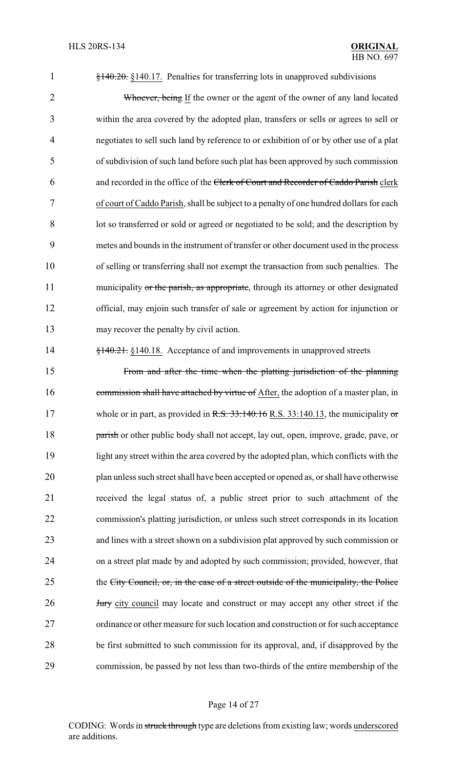§140.20. §140.17. Penalties for transferring lots in unapproved subdivisions

2 Whoever, being If the owner or the agent of the owner of any land located within the area covered by the adopted plan, transfers or sells or agrees to sell or negotiates to sell such land by reference to or exhibition of or by other use of a plat of subdivision of such land before such plat has been approved by such commission and recorded in the office of the Clerk of Court and Recorder of Caddo Parish clerk of court of Caddo Parish, shall be subject to a penalty of one hundred dollars for each lot so transferred or sold or agreed or negotiated to be sold; and the description by metes and bounds in the instrument of transfer or other document used in the process of selling or transferring shall not exempt the transaction from such penalties. The 11 municipality or the parish, as appropriate, through its attorney or other designated official, may enjoin such transfer of sale or agreement by action for injunction or may recover the penalty by civil action.

**§140.21.** §140.18. Acceptance of and improvements in unapproved streets

 From and after the time when the platting jurisdiction of the planning 16 commission shall have attached by virtue of After, the adoption of a master plan, in 17 whole or in part, as provided in R.S. 33:140.16 R.S. 33:140.13, the municipality or **parish** or other public body shall not accept, lay out, open, improve, grade, pave, or light any street within the area covered by the adopted plan, which conflicts with the plan unless such street shall have been accepted or opened as, or shall have otherwise received the legal status of, a public street prior to such attachment of the commission's platting jurisdiction, or unless such street corresponds in its location and lines with a street shown on a subdivision plat approved by such commission or on a street plat made by and adopted by such commission; provided, however, that 25 the City Council, or, in the case of a street outside of the municipality, the Police **Jury** city council may locate and construct or may accept any other street if the ordinance or other measure for such location and construction or for such acceptance be first submitted to such commission for its approval, and, if disapproved by the commission, be passed by not less than two-thirds of the entire membership of the

#### Page 14 of 27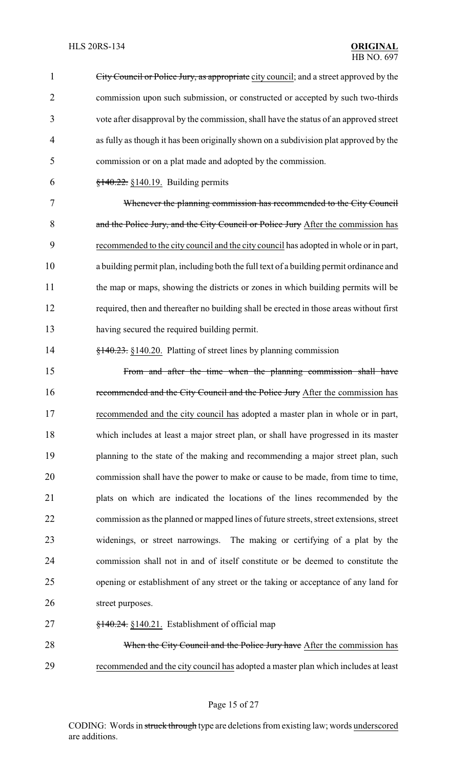City Council or Police Jury, as appropriate city council; and a street approved by the commission upon such submission, or constructed or accepted by such two-thirds vote after disapproval by the commission, shall have the status of an approved street as fully as though it has been originally shown on a subdivision plat approved by the commission or on a plat made and adopted by the commission.  $\frac{$140.22}{9140.22}$  §140.19. Building permits Whenever the planning commission has recommended to the City Council 8 and the Police Jury, and the City Council or Police Jury After the commission has recommended to the city council and the city council has adopted in whole or in part, a building permit plan, including both the full text of a building permit ordinance and the map or maps, showing the districts or zones in which building permits will be required, then and thereafter no building shall be erected in those areas without first having secured the required building permit. 14 §140.23. §140.20. Platting of street lines by planning commission From and after the time when the planning commission shall have 16 recommended and the City Council and the Police Jury After the commission has recommended and the city council has adopted a master plan in whole or in part, which includes at least a major street plan, or shall have progressed in its master 19 planning to the state of the making and recommending a major street plan, such commission shall have the power to make or cause to be made, from time to time, plats on which are indicated the locations of the lines recommended by the commission as the planned or mapped lines of future streets, street extensions, street widenings, or street narrowings. The making or certifying of a plat by the commission shall not in and of itself constitute or be deemed to constitute the opening or establishment of any street or the taking or acceptance of any land for 26 street purposes.  $\frac{$140.24}{100.21}$ . Establishment of official map 28 When the City Council and the Police Jury have After the commission has recommended and the city council has adopted a master plan which includes at least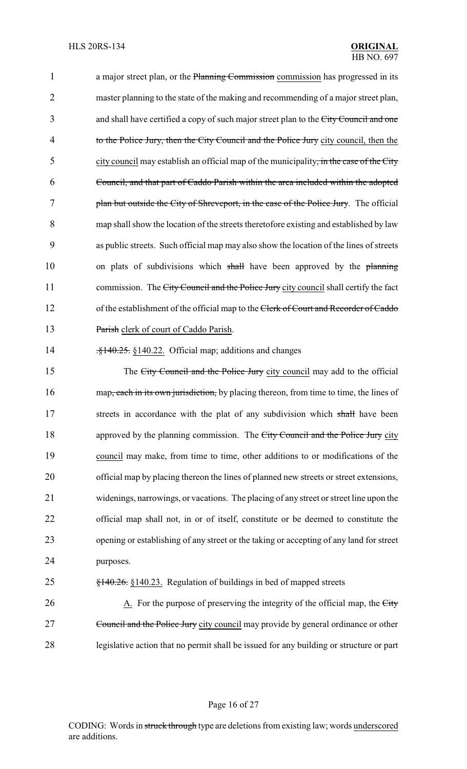1 a major street plan, or the Planning Commission commission has progressed in its 2 master planning to the state of the making and recommending of a major street plan, 3 and shall have certified a copy of such major street plan to the City Council and one 4 to the Police Jury, then the City Council and the Police Jury city council, then the 5 city council may establish an official map of the municipality, in the case of the City 6 Council, and that part of Caddo Parish within the area included within the adopted 7 plan but outside the City of Shreveport, in the case of the Police Jury. The official 8 map shall show the location of the streets theretofore existing and established by law 9 as public streets. Such official map may also show the location of the lines of streets 10 on plats of subdivisions which shall have been approved by the planning 11 commission. The City Council and the Police Jury city council shall certify the fact 12 of the establishment of the official map to the Clerk of Court and Recorder of Caddo 13 Parish clerk of court of Caddo Parish.

14 .<del>§140.25.</del> §140.22. Official map; additions and changes

15 The City Council and the Police Jury city council may add to the official 16 map, each in its own jurisdiction, by placing thereon, from time to time, the lines of 17 streets in accordance with the plat of any subdivision which shall have been 18 approved by the planning commission. The City Council and the Police Jury city 19 council may make, from time to time, other additions to or modifications of the 20 official map by placing thereon the lines of planned new streets or street extensions, 21 widenings, narrowings, or vacations. The placing of any street or street line upon the 22 official map shall not, in or of itself, constitute or be deemed to constitute the 23 opening or establishing of any street or the taking or accepting of any land for street 24 purposes.

# 25 §140.26. §140.23. Regulation of buildings in bed of mapped streets

26 A. For the purpose of preserving the integrity of the official map, the City 27 Council and the Police Jury city council may provide by general ordinance or other 28 legislative action that no permit shall be issued for any building or structure or part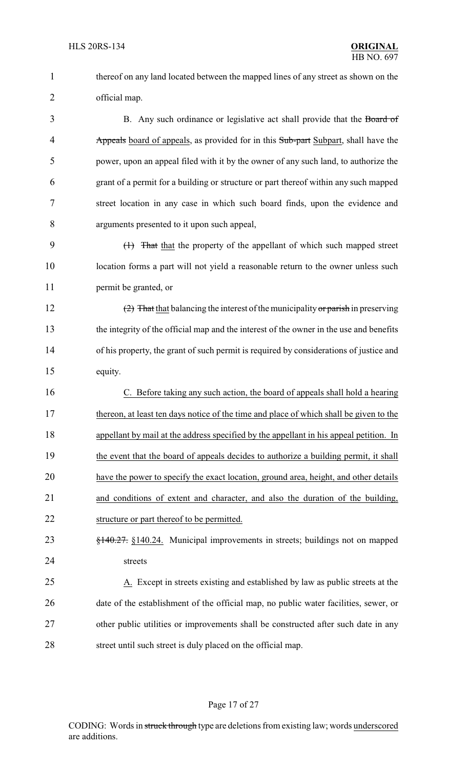thereof on any land located between the mapped lines of any street as shown on the official map.

3 B. Any such ordinance or legislative act shall provide that the Board of 4 Appearth Appeart Subard of appearts, as provided for in this Sub-part Subpart, shall have the power, upon an appeal filed with it by the owner of any such land, to authorize the grant of a permit for a building or structure or part thereof within any such mapped street location in any case in which such board finds, upon the evidence and arguments presented to it upon such appeal,

 (1) That that the property of the appellant of which such mapped street location forms a part will not yield a reasonable return to the owner unless such permit be granted, or

12 (2) That that balancing the interest of the municipality or parish in preserving the integrity of the official map and the interest of the owner in the use and benefits of his property, the grant of such permit is required by considerations of justice and equity.

 C. Before taking any such action, the board of appeals shall hold a hearing thereon, at least ten days notice of the time and place of which shall be given to the appellant by mail at the address specified by the appellant in his appeal petition. In the event that the board of appeals decides to authorize a building permit, it shall have the power to specify the exact location, ground area, height, and other details and conditions of extent and character, and also the duration of the building, structure or part thereof to be permitted.

 §140.27. §140.24. Municipal improvements in streets; buildings not on mapped streets

 A. Except in streets existing and established by law as public streets at the date of the establishment of the official map, no public water facilities, sewer, or other public utilities or improvements shall be constructed after such date in any 28 street until such street is duly placed on the official map.

## Page 17 of 27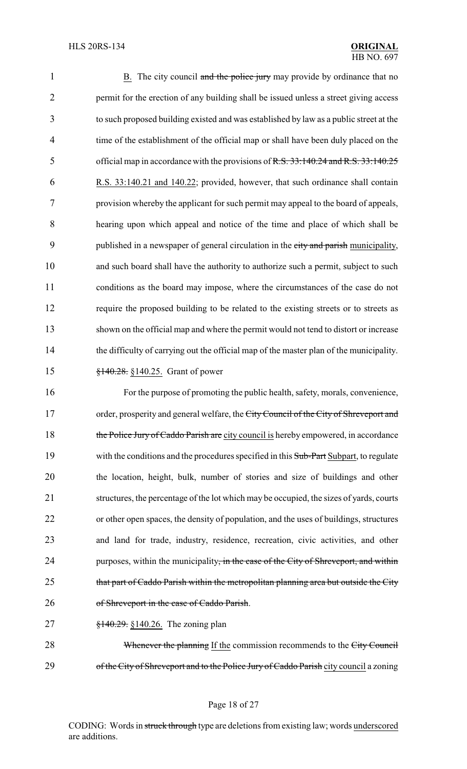| $\mathbf{1}$   | B. The city council and the police jury may provide by ordinance that no                |
|----------------|-----------------------------------------------------------------------------------------|
| $\overline{2}$ | permit for the erection of any building shall be issued unless a street giving access   |
| 3              | to such proposed building existed and was established by law as a public street at the  |
| $\overline{4}$ | time of the establishment of the official map or shall have been duly placed on the     |
| 5              | official map in accordance with the provisions of R.S. 33:140.24 and R.S. 33:140.25     |
| 6              | R.S. 33:140.21 and 140.22; provided, however, that such ordinance shall contain         |
| 7              | provision whereby the applicant for such permit may appeal to the board of appeals,     |
| 8              | hearing upon which appeal and notice of the time and place of which shall be            |
| 9              | published in a newspaper of general circulation in the city and parish municipality,    |
| 10             | and such board shall have the authority to authorize such a permit, subject to such     |
| 11             | conditions as the board may impose, where the circumstances of the case do not          |
| 12             | require the proposed building to be related to the existing streets or to streets as    |
| 13             | shown on the official map and where the permit would not tend to distort or increase    |
| 14             | the difficulty of carrying out the official map of the master plan of the municipality. |
| 15             | $\frac{$140.28}{9140.25}$ . Grant of power                                              |

16 For the purpose of promoting the public health, safety, morals, convenience, 17 order, prosperity and general welfare, the City Council of the City of Shreveport and 18 the Police Jury of Caddo Parish are city council is hereby empowered, in accordance 19 with the conditions and the procedures specified in this Sub-Part Subpart, to regulate 20 the location, height, bulk, number of stories and size of buildings and other 21 structures, the percentage of the lot which may be occupied, the sizes of yards, courts 22 or other open spaces, the density of population, and the uses of buildings, structures 23 and land for trade, industry, residence, recreation, civic activities, and other 24 purposes, within the municipality, in the case of the City of Shreveport, and within 25 that part of Caddo Parish within the metropolitan planning area but outside the City 26 of Shreveport in the case of Caddo Parish.

27 <del>§140.29.</del> §140.26. The zoning plan

28 Whenever the planning If the commission recommends to the City Council 29 of the City of Shreveport and to the Police Jury of Caddo Parish city council a zoning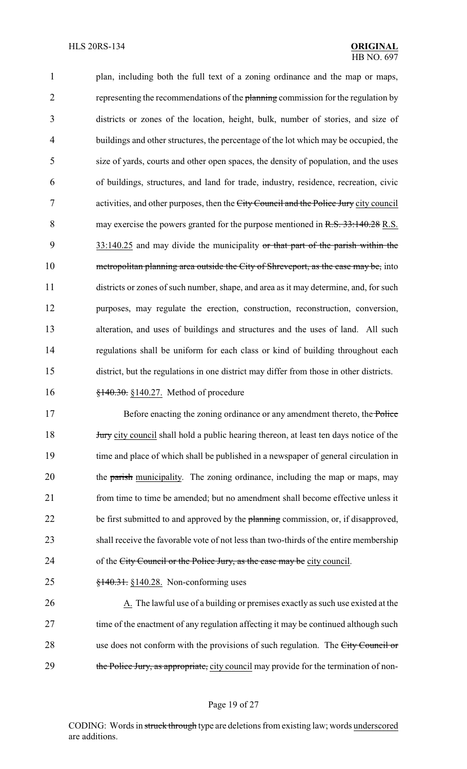plan, including both the full text of a zoning ordinance and the map or maps, 2 representing the recommendations of the planning commission for the regulation by districts or zones of the location, height, bulk, number of stories, and size of buildings and other structures, the percentage of the lot which may be occupied, the size of yards, courts and other open spaces, the density of population, and the uses of buildings, structures, and land for trade, industry, residence, recreation, civic 7 activities, and other purposes, then the City Council and the Police Jury city council 8 may exercise the powers granted for the purpose mentioned in R.S. 33:140.28 R.S. 9 33:140.25 and may divide the municipality or that part of the parish within the 10 metropolitan planning area outside the City of Shreveport, as the case may be, into districts or zones of such number, shape, and area as it may determine, and, for such purposes, may regulate the erection, construction, reconstruction, conversion, alteration, and uses of buildings and structures and the uses of land. All such regulations shall be uniform for each class or kind of building throughout each district, but the regulations in one district may differ from those in other districts.

## 16 **§140.30.** §140.27. Method of procedure

17 Before enacting the zoning ordinance or any amendment thereto, the Police 18 **Jury** city council shall hold a public hearing thereon, at least ten days notice of the 19 time and place of which shall be published in a newspaper of general circulation in 20 the parish municipality. The zoning ordinance, including the map or maps, may 21 from time to time be amended; but no amendment shall become effective unless it 22 be first submitted to and approved by the planning commission, or, if disapproved, 23 shall receive the favorable vote of not less than two-thirds of the entire membership 24 of the City Council or the Police Jury, as the case may be city council.

25 §140.31. §140.28. Non-conforming uses

26 A. The lawful use of a building or premises exactly as such use existed at the 27 time of the enactment of any regulation affecting it may be continued although such 28 use does not conform with the provisions of such regulation. The City Council or 29 the Police Jury, as appropriate, city council may provide for the termination of non-

## Page 19 of 27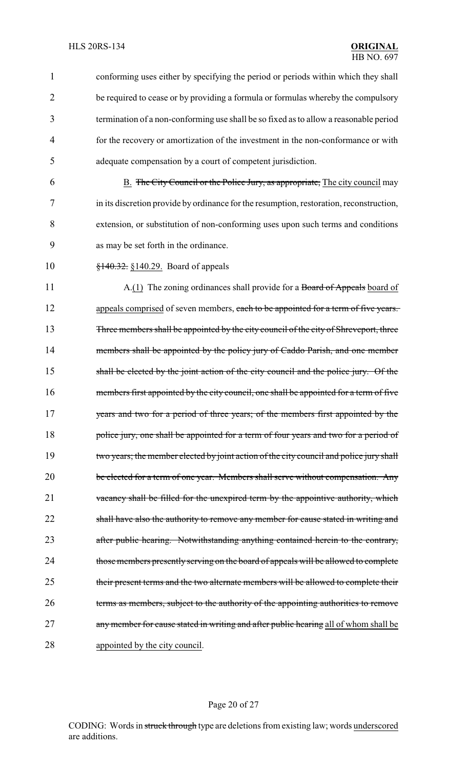1 conforming uses either by specifying the period or periods within which they shall 2 be required to cease or by providing a formula or formulas whereby the compulsory 3 termination of a non-conforming use shall be so fixed as to allow a reasonable period 4 for the recovery or amortization of the investment in the non-conformance or with 5 adequate compensation by a court of competent jurisdiction. 6 B. The City Council or the Police Jury, as appropriate, The city council may 7 in its discretion provide by ordinance for the resumption, restoration, reconstruction, 8 extension, or substitution of non-conforming uses upon such terms and conditions 9 as may be set forth in the ordinance. 10 <del>§140.32.</del> §140.29. Board of appeals 11 A.(1) The zoning ordinances shall provide for a Board of Appeals board of 12 appeals comprised of seven members, each to be appointed for a term of five years. 13 Three members shall be appointed by the city council of the city of Shreveport, three 14 members shall be appointed by the policy jury of Caddo Parish, and one member 15 shall be elected by the joint action of the city council and the police jury. Of the 16 members first appointed by the city council, one shall be appointed for a term of five 17 years and two for a period of three years; of the members first appointed by the 18 police jury, one shall be appointed for a term of four years and two for a period of 19 two years; the member elected by joint action of the city council and police jury shall 20 be elected for a term of one year. Members shall serve without compensation. Any 21 vacancy shall be filled for the unexpired term by the appointive authority, which 22 shall have also the authority to remove any member for cause stated in writing and 23 after public hearing. Notwithstanding anything contained herein to the contrary, 24 those members presently serving on the board of appeals will be allowed to complete 25 their present terms and the two alternate members will be allowed to complete their 26 terms as members, subject to the authority of the appointing authorities to remove 27 any member for cause stated in writing and after public hearing all of whom shall be 28 appointed by the city council.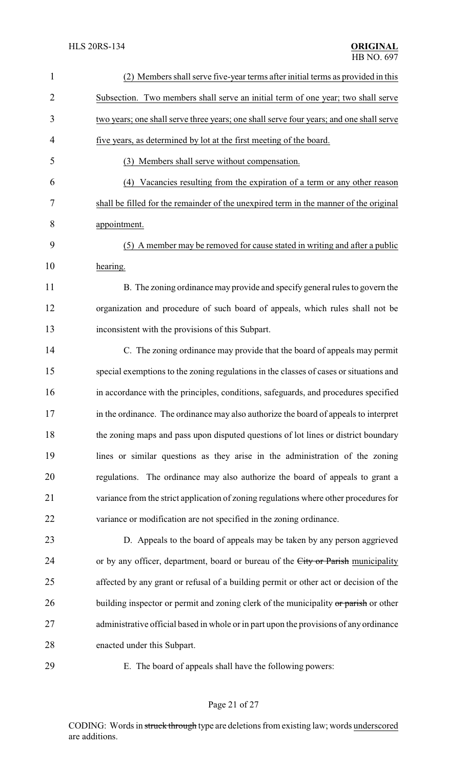| $\mathbf{1}$   | (2) Members shall serve five-year terms after initial terms as provided in this         |
|----------------|-----------------------------------------------------------------------------------------|
| $\overline{2}$ | Subsection. Two members shall serve an initial term of one year; two shall serve        |
| 3              | two years; one shall serve three years; one shall serve four years; and one shall serve |
| $\overline{4}$ | five years, as determined by lot at the first meeting of the board.                     |
| 5              | (3) Members shall serve without compensation.                                           |
| 6              | Vacancies resulting from the expiration of a term or any other reason<br>(4)            |
| 7              | shall be filled for the remainder of the unexpired term in the manner of the original   |
| 8              | appointment.                                                                            |
| 9              | (5) A member may be removed for cause stated in writing and after a public              |
| 10             | hearing.                                                                                |
| 11             | B. The zoning ordinance may provide and specify general rules to govern the             |
| 12             | organization and procedure of such board of appeals, which rules shall not be           |
| 13             | inconsistent with the provisions of this Subpart.                                       |
| 14             | C. The zoning ordinance may provide that the board of appeals may permit                |
| 15             | special exemptions to the zoning regulations in the classes of cases or situations and  |
| 16             | in accordance with the principles, conditions, safeguards, and procedures specified     |
| 17             | in the ordinance. The ordinance may also authorize the board of appeals to interpret    |
| 18             | the zoning maps and pass upon disputed questions of lot lines or district boundary      |
| 19             | lines or similar questions as they arise in the administration of the zoning            |
| 20             | regulations. The ordinance may also authorize the board of appeals to grant a           |
| 21             | variance from the strict application of zoning regulations where other procedures for   |
| 22             | variance or modification are not specified in the zoning ordinance.                     |
| 23             | D. Appeals to the board of appeals may be taken by any person aggrieved                 |
| 24             | or by any officer, department, board or bureau of the City or Parish municipality       |
| 25             | affected by any grant or refusal of a building permit or other act or decision of the   |
| 26             | building inspector or permit and zoning clerk of the municipality or parish or other    |
| 27             | administrative official based in whole or in part upon the provisions of any ordinance  |
| 28             | enacted under this Subpart.                                                             |
| 29             | E. The board of appeals shall have the following powers:                                |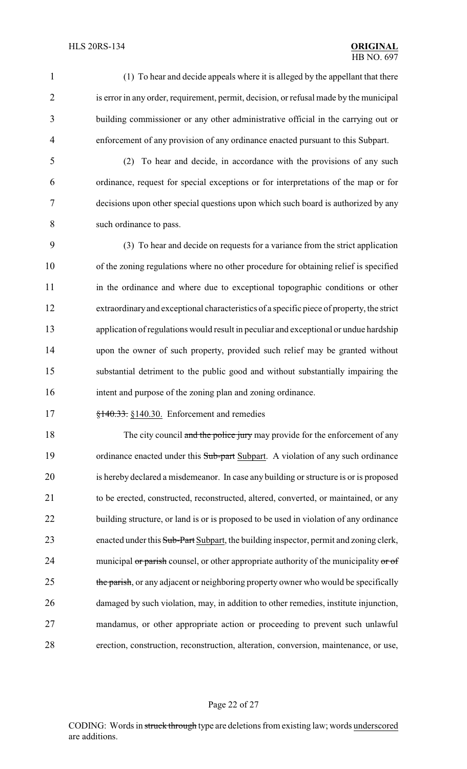(1) To hear and decide appeals where it is alleged by the appellant that there 2 is error in any order, requirement, permit, decision, or refusal made by the municipal building commissioner or any other administrative official in the carrying out or enforcement of any provision of any ordinance enacted pursuant to this Subpart.

 (2) To hear and decide, in accordance with the provisions of any such ordinance, request for special exceptions or for interpretations of the map or for decisions upon other special questions upon which such board is authorized by any such ordinance to pass.

 (3) To hear and decide on requests for a variance from the strict application of the zoning regulations where no other procedure for obtaining relief is specified in the ordinance and where due to exceptional topographic conditions or other extraordinaryand exceptional characteristics of a specific piece of property, the strict application of regulations would result in peculiar and exceptional or undue hardship upon the owner of such property, provided such relief may be granted without substantial detriment to the public good and without substantially impairing the intent and purpose of the zoning plan and zoning ordinance.

**§140.33.** §140.30. Enforcement and remedies

18 The city council and the police jury may provide for the enforcement of any 19 ordinance enacted under this Sub-part Subpart. A violation of any such ordinance is hereby declared a misdemeanor. In case any building or structure is or is proposed to be erected, constructed, reconstructed, altered, converted, or maintained, or any 22 building structure, or land is or is proposed to be used in violation of any ordinance 23 enacted under this Sub-Part Subpart, the building inspector, permit and zoning clerk, 24 municipal or parish counsel, or other appropriate authority of the municipality or of 25 the parish, or any adjacent or neighboring property owner who would be specifically damaged by such violation, may, in addition to other remedies, institute injunction, mandamus, or other appropriate action or proceeding to prevent such unlawful erection, construction, reconstruction, alteration, conversion, maintenance, or use,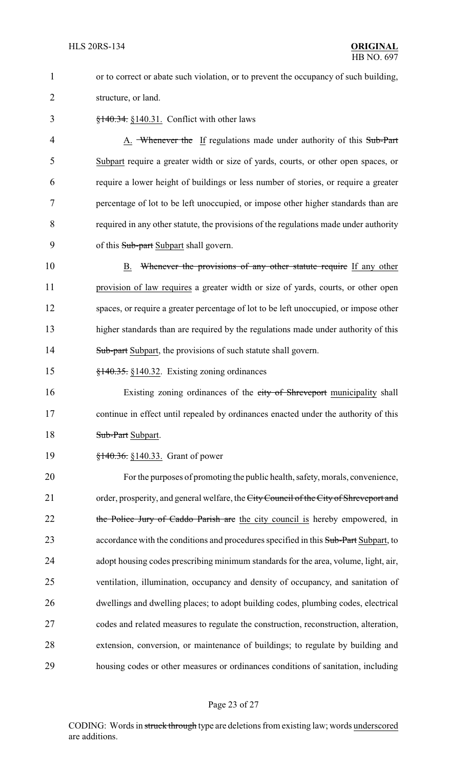1 or to correct or abate such violation, or to prevent the occupancy of such building, 2 structure, or land.

3 §140.34. §140.31. Conflict with other laws

4 A. Whenever the If regulations made under authority of this Sub-Part Subpart require a greater width or size of yards, courts, or other open spaces, or require a lower height of buildings or less number of stories, or require a greater percentage of lot to be left unoccupied, or impose other higher standards than are required in any other statute, the provisions of the regulations made under authority 9 of this Sub-part Subpart shall govern.

10 B. Whenever the provisions of any other statute require If any other 11 provision of law requires a greater width or size of yards, courts, or other open 12 spaces, or require a greater percentage of lot to be left unoccupied, or impose other 13 higher standards than are required by the regulations made under authority of this 14 Sub-part Subpart, the provisions of such statute shall govern.

15 §140.35. §140.32. Existing zoning ordinances

16 Existing zoning ordinances of the city of Shreveport municipality shall 17 continue in effect until repealed by ordinances enacted under the authority of this 18 Sub-Part Subpart.

19 <del>§140.36.</del> §140.33. Grant of power

 For the purposes of promoting the public health, safety, morals, convenience, 21 order, prosperity, and general welfare, the City Council of the City of Shreveport and 22 the Police Jury of Caddo Parish are the city council is hereby empowered, in 23 accordance with the conditions and procedures specified in this Sub-Part Subpart, to adopt housing codes prescribing minimum standards for the area, volume, light, air, ventilation, illumination, occupancy and density of occupancy, and sanitation of dwellings and dwelling places; to adopt building codes, plumbing codes, electrical codes and related measures to regulate the construction, reconstruction, alteration, extension, conversion, or maintenance of buildings; to regulate by building and housing codes or other measures or ordinances conditions of sanitation, including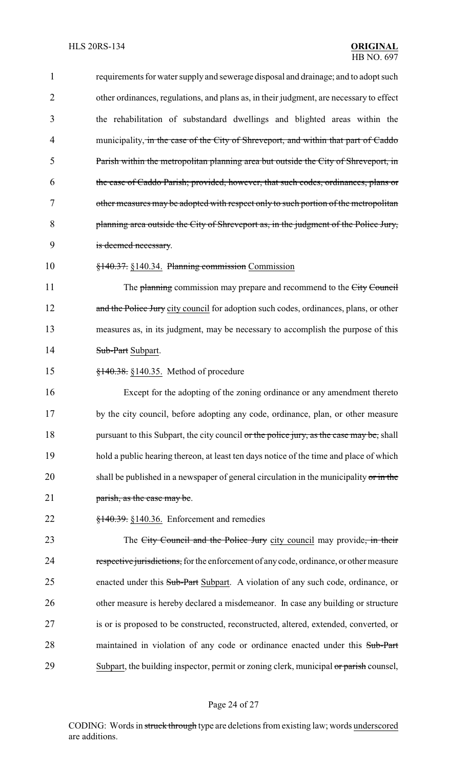| $\mathbf{1}$   | requirements for water supply and sewerage disposal and drainage; and to adopt such      |
|----------------|------------------------------------------------------------------------------------------|
| $\overline{2}$ | other ordinances, regulations, and plans as, in their judgment, are necessary to effect  |
| 3              | the rehabilitation of substandard dwellings and blighted areas within the                |
| 4              | municipality, in the case of the City of Shreveport, and within that part of Caddo       |
| 5              | Parish within the metropolitan planning area but outside the City of Shreveport, in      |
| 6              | the case of Caddo Parish; provided, however, that such codes, ordinances, plans or       |
| 7              | other measures may be adopted with respect only to such portion of the metropolitan      |
| 8              | planning area outside the City of Shreveport as, in the judgment of the Police Jury,     |
| 9              | is deemed necessary.                                                                     |
| 10             | §140.37. §140.34. Planning commission Commission                                         |
| 11             | The planning commission may prepare and recommend to the City Council                    |
| 12             | and the Police Jury city council for adoption such codes, ordinances, plans, or other    |
| 13             | measures as, in its judgment, may be necessary to accomplish the purpose of this         |
| 14             | Sub-Part Subpart.                                                                        |
| 15             | $\frac{$140.38}{\\8140.35}$ . Method of procedure                                        |
| 16             | Except for the adopting of the zoning ordinance or any amendment thereto                 |
| 17             | by the city council, before adopting any code, ordinance, plan, or other measure         |
| 18             | pursuant to this Subpart, the city council or the police jury, as the case may be, shall |
| 19             | hold a public hearing thereon, at least ten days notice of the time and place of which   |
| 20             | shall be published in a newspaper of general circulation in the municipality or in the   |
| 21             | parish, as the case may be.                                                              |
| 22             | $\frac{$140.39}{140.39}$ : §140.36. Enforcement and remedies                             |
| 23             | The City Council and the Police Jury city council may provide, in their                  |
| 24             | respective jurisdictions, for the enforcement of any code, ordinance, or other measure   |
| 25             | enacted under this Sub-Part Subpart. A violation of any such code, ordinance, or         |
| 26             | other measure is hereby declared a misdemeanor. In case any building or structure        |
| 27             | is or is proposed to be constructed, reconstructed, altered, extended, converted, or     |
| 28             | maintained in violation of any code or ordinance enacted under this Sub-Part             |
| 29             | Subpart, the building inspector, permit or zoning clerk, municipal or parish counsel,    |
|                |                                                                                          |

# Page 24 of 27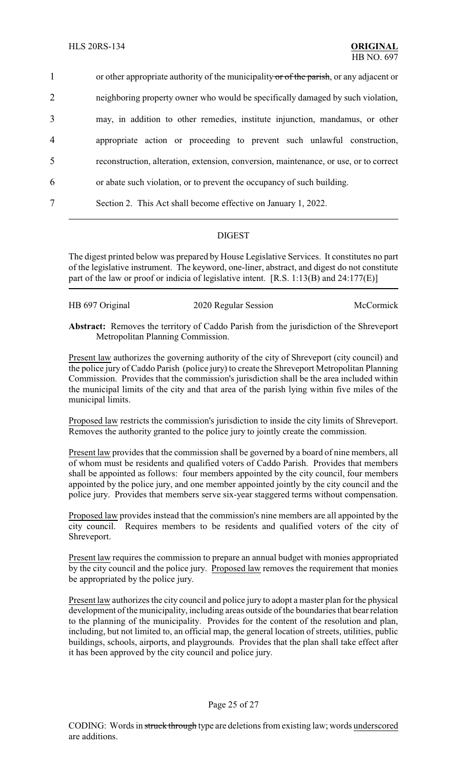1 or other appropriate authority of the municipality or of the parish, or any adjacent or neighboring property owner who would be specifically damaged by such violation, may, in addition to other remedies, institute injunction, mandamus, or other appropriate action or proceeding to prevent such unlawful construction, reconstruction, alteration, extension, conversion, maintenance, or use, or to correct or abate such violation, or to prevent the occupancy of such building. Section 2. This Act shall become effective on January 1, 2022.

## DIGEST

The digest printed below was prepared by House Legislative Services. It constitutes no part of the legislative instrument. The keyword, one-liner, abstract, and digest do not constitute part of the law or proof or indicia of legislative intent. [R.S. 1:13(B) and 24:177(E)]

| HB 697 Original |                      | McCormick |
|-----------------|----------------------|-----------|
|                 | 2020 Regular Session |           |

**Abstract:** Removes the territory of Caddo Parish from the jurisdiction of the Shreveport Metropolitan Planning Commission.

Present law authorizes the governing authority of the city of Shreveport (city council) and the police jury of Caddo Parish (police jury) to create the Shreveport Metropolitan Planning Commission. Provides that the commission's jurisdiction shall be the area included within the municipal limits of the city and that area of the parish lying within five miles of the municipal limits.

Proposed law restricts the commission's jurisdiction to inside the city limits of Shreveport. Removes the authority granted to the police jury to jointly create the commission.

Present law provides that the commission shall be governed by a board of nine members, all of whom must be residents and qualified voters of Caddo Parish. Provides that members shall be appointed as follows: four members appointed by the city council, four members appointed by the police jury, and one member appointed jointly by the city council and the police jury. Provides that members serve six-year staggered terms without compensation.

Proposed law provides instead that the commission's nine members are all appointed by the city council. Requires members to be residents and qualified voters of the city of Shreveport.

Present law requires the commission to prepare an annual budget with monies appropriated by the city council and the police jury. Proposed law removes the requirement that monies be appropriated by the police jury.

Present law authorizes the city council and police jury to adopt a master plan for the physical development of the municipality, including areas outside of the boundaries that bear relation to the planning of the municipality. Provides for the content of the resolution and plan, including, but not limited to, an official map, the general location of streets, utilities, public buildings, schools, airports, and playgrounds. Provides that the plan shall take effect after it has been approved by the city council and police jury.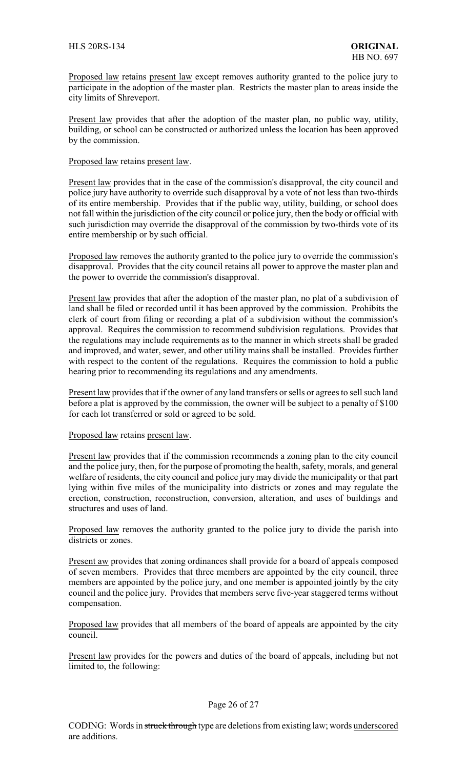Proposed law retains present law except removes authority granted to the police jury to participate in the adoption of the master plan. Restricts the master plan to areas inside the city limits of Shreveport.

Present law provides that after the adoption of the master plan, no public way, utility, building, or school can be constructed or authorized unless the location has been approved by the commission.

#### Proposed law retains present law.

Present law provides that in the case of the commission's disapproval, the city council and police jury have authority to override such disapproval by a vote of not less than two-thirds of its entire membership. Provides that if the public way, utility, building, or school does not fall within the jurisdiction of the city council or police jury, then the body or official with such jurisdiction may override the disapproval of the commission by two-thirds vote of its entire membership or by such official.

Proposed law removes the authority granted to the police jury to override the commission's disapproval. Provides that the city council retains all power to approve the master plan and the power to override the commission's disapproval.

Present law provides that after the adoption of the master plan, no plat of a subdivision of land shall be filed or recorded until it has been approved by the commission. Prohibits the clerk of court from filing or recording a plat of a subdivision without the commission's approval. Requires the commission to recommend subdivision regulations. Provides that the regulations may include requirements as to the manner in which streets shall be graded and improved, and water, sewer, and other utility mains shall be installed. Provides further with respect to the content of the regulations. Requires the commission to hold a public hearing prior to recommending its regulations and any amendments.

Present law provides that if the owner of any land transfers or sells or agrees to sell such land before a plat is approved by the commission, the owner will be subject to a penalty of \$100 for each lot transferred or sold or agreed to be sold.

#### Proposed law retains present law.

Present law provides that if the commission recommends a zoning plan to the city council and the police jury, then, for the purpose of promoting the health, safety, morals, and general welfare of residents, the city council and police jurymay divide the municipality or that part lying within five miles of the municipality into districts or zones and may regulate the erection, construction, reconstruction, conversion, alteration, and uses of buildings and structures and uses of land.

Proposed law removes the authority granted to the police jury to divide the parish into districts or zones.

Present aw provides that zoning ordinances shall provide for a board of appeals composed of seven members. Provides that three members are appointed by the city council, three members are appointed by the police jury, and one member is appointed jointly by the city council and the police jury. Provides that members serve five-year staggered terms without compensation.

Proposed law provides that all members of the board of appeals are appointed by the city council.

Present law provides for the powers and duties of the board of appeals, including but not limited to, the following: